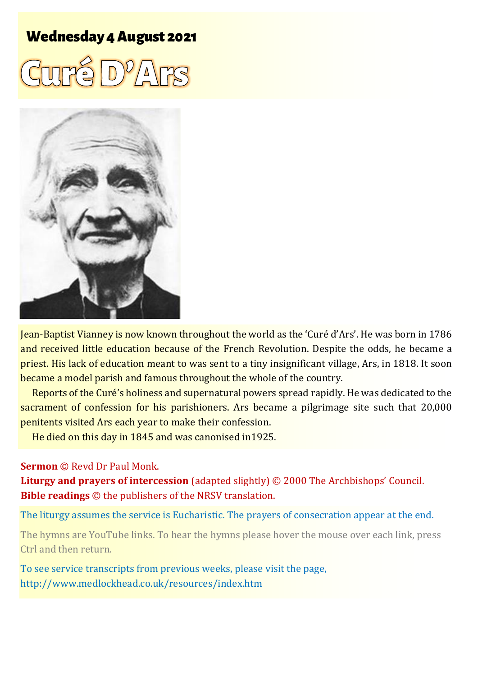# **Wednesday 4 August 2021**





Jean-Baptist Vianney is now known throughout the world as the 'Curé d'Ars'. He was born in 1786 and received little education because of the French Revolution. Despite the odds, he became a priest. His lack of education meant to was sent to a tiny insignificant village, Ars, in 1818. It soon became a model parish and famous throughout the whole of the country.

Reports of the Curé's holiness and supernatural powers spread rapidly. He was dedicated to the sacrament of confession for his parishioners. Ars became a pilgrimage site such that 20,000 penitents visited Ars each year to make their confession.

He died on this day in 1845 and was canonised in1925.

#### **Sermon** © Revd Dr Paul Monk.

**Liturgy and prayers of intercession** (adapted slightly) © 2000 The Archbishops' Council. **Bible readings** © the publishers of the NRSV translation.

The liturgy assumes the service is Eucharistic. The prayers of consecration appear at the end.

The hymns are YouTube links. To hear the hymns please hover the mouse over each link, press Ctrl and then return.

To see service transcripts from previous weeks, please visit the page, <http://www.medlockhead.co.uk/resources/index.htm>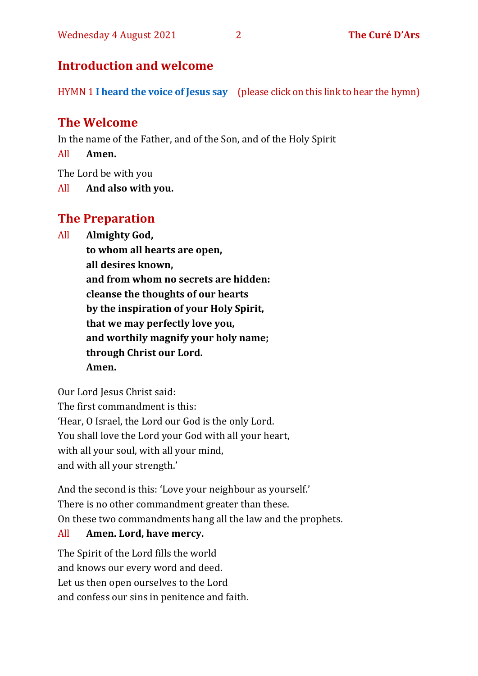# **Introduction and welcome**

HYMN 1 **[I heard the voice of Jesus say](https://www.youtube.com/watch?v=XUVCpF8-VuE)** (please click on this link to hear the hymn)

# **The Welcome**

In the name of the Father, and of the Son, and of the Holy Spirit

All **Amen.**

The Lord be with you

All **And also with you.**

# **The Preparation**

All **Almighty God,**

**to whom all hearts are open, all desires known, and from whom no secrets are hidden: cleanse the thoughts of our hearts by the inspiration of your Holy Spirit, that we may perfectly love you, and worthily magnify your holy name; through Christ our Lord. Amen.**

Our Lord Jesus Christ said: The first commandment is this: 'Hear, O Israel, the Lord our God is the only Lord. You shall love the Lord your God with all your heart, with all your soul, with all your mind, and with all your strength.'

And the second is this: 'Love your neighbour as yourself.' There is no other commandment greater than these. On these two commandments hang all the law and the prophets. All **Amen. Lord, have mercy.**

The Spirit of the Lord fills the world and knows our every word and deed. Let us then open ourselves to the Lord and confess our sins in penitence and faith.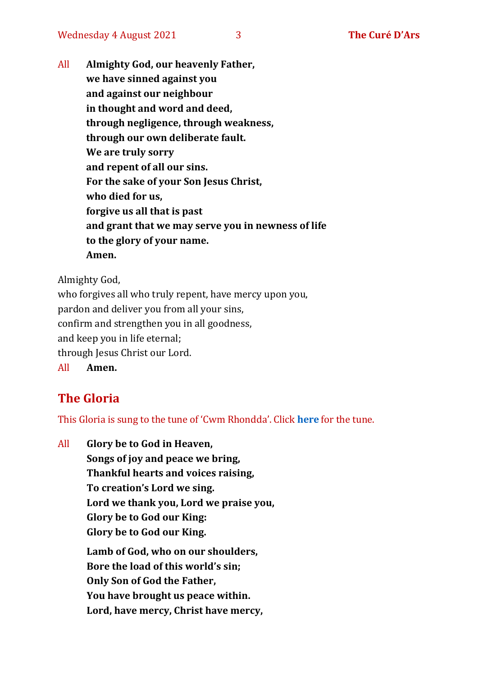All **Almighty God, our heavenly Father, we have sinned against you and against our neighbour in thought and word and deed, through negligence, through weakness, through our own deliberate fault. We are truly sorry and repent of all our sins. For the sake of your Son Jesus Christ, who died for us, forgive us all that is past and grant that we may serve you in newness of life to the glory of your name. Amen.**

Almighty God,

who forgives all who truly repent, have mercy upon you, pardon and deliver you from all your sins, confirm and strengthen you in all goodness, and keep you in life eternal; through Jesus Christ our Lord. All **Amen.**

# **The Gloria**

This Gloria is sung to the tune of 'Cwm Rhondda'. Click **[here](https://www.youtube.com/watch?v=l71MLQ22dIk)** for the tune.

All **Glory be to God in Heaven, Songs of joy and peace we bring, Thankful hearts and voices raising, To creation's Lord we sing. Lord we thank you, Lord we praise you, Glory be to God our King: Glory be to God our King. Lamb of God, who on our shoulders, Bore the load of this world's sin; Only Son of God the Father, You have brought us peace within. Lord, have mercy, Christ have mercy,**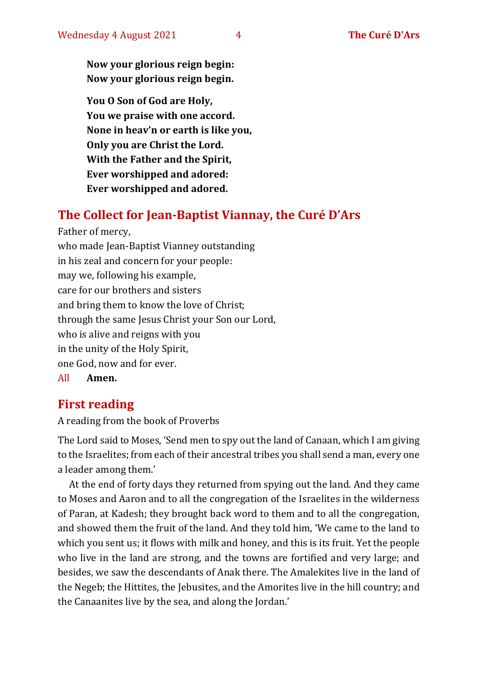**Now your glorious reign begin: Now your glorious reign begin.**

**You O Son of God are Holy, You we praise with one accord. None in heav'n or earth is like you, Only you are Christ the Lord. With the Father and the Spirit, Ever worshipped and adored: Ever worshipped and adored.**

# **The Collect for Jean-Baptist Viannay, the Curé D'Ars**

Father of mercy, who made Jean-Baptist Vianney outstanding in his zeal and concern for your people: may we, following his example, care for our brothers and sisters and bring them to know the love of Christ; through the same Jesus Christ your Son our Lord, who is alive and reigns with you in the unity of the Holy Spirit, one God, now and for ever. All **Amen.**

### **First reading**

A reading from the book of Proverbs

The Lord said to Moses, 'Send men to spy out the land of Canaan, which I am giving to the Israelites; from each of their ancestral tribes you shall send a man, every one a leader among them.'

At the end of forty days they returned from spying out the land. And they came to Moses and Aaron and to all the congregation of the Israelites in the wilderness of Paran, at Kadesh; they brought back word to them and to all the congregation, and showed them the fruit of the land. And they told him, 'We came to the land to which you sent us; it flows with milk and honey, and this is its fruit. Yet the people who live in the land are strong, and the towns are fortified and very large; and besides, we saw the descendants of Anak there. The Amalekites live in the land of the Negeb; the Hittites, the Jebusites, and the Amorites live in the hill country; and the Canaanites live by the sea, and along the Jordan.'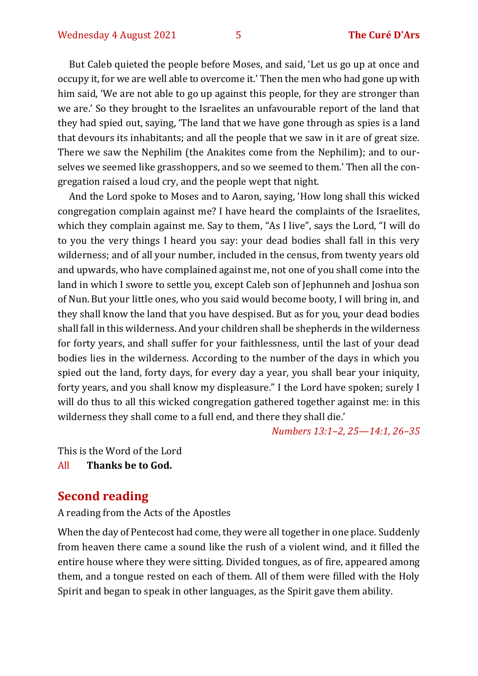But Caleb quieted the people before Moses, and said, 'Let us go up at once and occupy it, for we are well able to overcome it.' Then the men who had gone up with him said, 'We are not able to go up against this people, for they are stronger than we are.' So they brought to the Israelites an unfavourable report of the land that they had spied out, saying, 'The land that we have gone through as spies is a land that devours its inhabitants; and all the people that we saw in it are of great size. There we saw the Nephilim (the Anakites come from the Nephilim); and to ourselves we seemed like grasshoppers, and so we seemed to them.' Then all the congregation raised a loud cry, and the people wept that night.

And the Lord spoke to Moses and to Aaron, saying, 'How long shall this wicked congregation complain against me? I have heard the complaints of the Israelites, which they complain against me. Say to them, "As I live", says the Lord, "I will do to you the very things I heard you say: your dead bodies shall fall in this very wilderness; and of all your number, included in the census, from twenty years old and upwards, who have complained against me, not one of you shall come into the land in which I swore to settle you, except Caleb son of Jephunneh and Joshua son of Nun.But your little ones, who you said would become booty, I will bring in, and they shall know the land that you have despised. But as for you, your dead bodies shall fall in this wilderness. And your children shall be shepherds in the wilderness for forty years, and shall suffer for your faithlessness, until the last of your dead bodies lies in the wilderness. According to the number of the days in which you spied out the land, forty days, for every day a year, you shall bear your iniquity, forty years, and you shall know my displeasure." I the Lord have spoken; surely I will do thus to all this wicked congregation gathered together against me: in this wilderness they shall come to a full end, and there they shall die.'

*Numbers 13:1–2, 25—14:1, 26–35*

This is the Word of the Lord All **Thanks be to God.**

#### **Second reading**

#### A reading from the Acts of the Apostles

When the day of Pentecost had come, they were all together in one place. Suddenly from heaven there came a sound like the rush of a violent wind, and it filled the entire house where they were sitting. Divided tongues, as of fire, appeared among them, and a tongue rested on each of them. All of them were filled with the Holy Spirit and began to speak in other languages, as the Spirit gave them ability.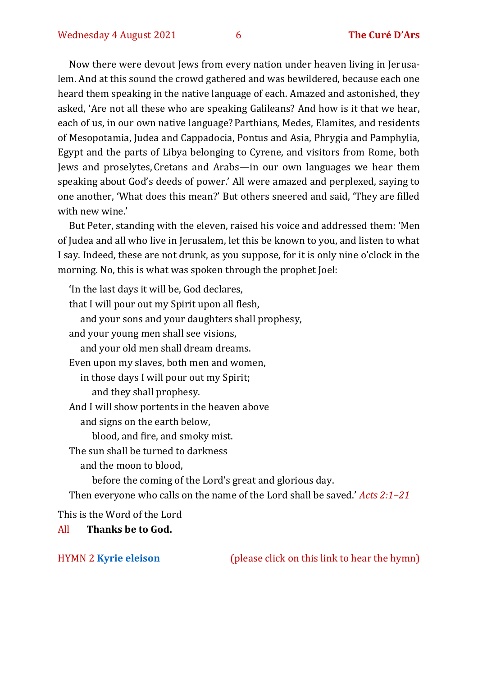Now there were devout Jews from every nation under heaven living in Jerusalem. And at this sound the crowd gathered and was bewildered, because each one heard them speaking in the native language of each. Amazed and astonished, they asked, 'Are not all these who are speaking Galileans? And how is it that we hear, each of us, in our own native language? Parthians, Medes, Elamites, and residents of Mesopotamia, Judea and Cappadocia, Pontus and Asia, Phrygia and Pamphylia, Egypt and the parts of Libya belonging to Cyrene, and visitors from Rome, both Jews and proselytes, Cretans and Arabs—in our own languages we hear them speaking about God's deeds of power.' All were amazed and perplexed, saying to one another, 'What does this mean?' But others sneered and said, 'They are filled with new wine.'

But Peter, standing with the eleven, raised his voice and addressed them: 'Men of Judea and all who live in Jerusalem, let this be known to you, and listen to what I say. Indeed, these are not drunk, as you suppose, for it is only nine o'clock in the morning. No, this is what was spoken through the prophet Joel:

'In the last days it will be, God declares, that I will pour out my Spirit upon all flesh, and your sons and your daughters shall prophesy, and your young men shall see visions, and your old men shall dream dreams. Even upon my slaves, both men and women, in those days I will pour out my Spirit; and they shall prophesy. And I will show portents in the heaven above and signs on the earth below, blood, and fire, and smoky mist. The sun shall be turned to darkness and the moon to blood, before the coming of the Lord's great and glorious day. Then everyone who calls on the name of the Lord shall be saved.' *Acts 2:1–21*

This is the Word of the Lord

All **Thanks be to God.**

HYMN 2 **[Kyrie eleison](https://www.youtube.com/watch?v=mAZC4oe9VM0)** (please click on this link to hear the hymn)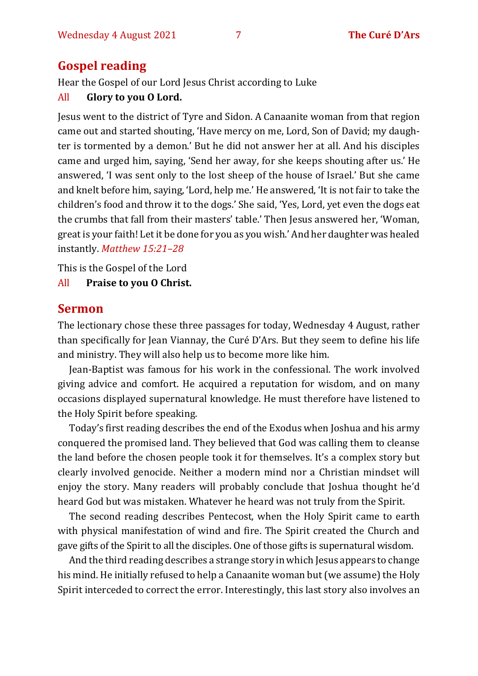#### **Gospel reading**

Hear the Gospel of our Lord Jesus Christ according to Luke

#### All **Glory to you O Lord.**

Jesus went to the district of Tyre and Sidon. A Canaanite woman from that region came out and started shouting, 'Have mercy on me, Lord, Son of David; my daughter is tormented by a demon.' But he did not answer her at all. And his disciples came and urged him, saying, 'Send her away, for she keeps shouting after us.' He answered, 'I was sent only to the lost sheep of the house of Israel.' But she came and knelt before him, saying, 'Lord, help me.' He answered, 'It is not fair to take the children's food and throw it to the dogs.' She said, 'Yes, Lord, yet even the dogs eat the crumbs that fall from their masters' table.' Then Jesus answered her, 'Woman, great is your faith! Let it be done for you as you wish.' And her daughter was healed instantly. *Matthew 15:21–28*

This is the Gospel of the Lord

All **Praise to you O Christ.** 

#### **Sermon**

The lectionary chose these three passages for today, Wednesday 4 August, rather than specifically for Jean Viannay, the Curé D'Ars. But they seem to define his life and ministry. They will also help us to become more like him.

Jean-Baptist was famous for his work in the confessional. The work involved giving advice and comfort. He acquired a reputation for wisdom, and on many occasions displayed supernatural knowledge. He must therefore have listened to the Holy Spirit before speaking.

Today's first reading describes the end of the Exodus when Joshua and his army conquered the promised land. They believed that God was calling them to cleanse the land before the chosen people took it for themselves. It's a complex story but clearly involved genocide. Neither a modern mind nor a Christian mindset will enjoy the story. Many readers will probably conclude that Joshua thought he'd heard God but was mistaken. Whatever he heard was not truly from the Spirit.

The second reading describes Pentecost, when the Holy Spirit came to earth with physical manifestation of wind and fire. The Spirit created the Church and gave gifts of the Spirit to all the disciples. One of those gifts is supernatural wisdom.

And the third reading describes a strange story in which Jesus appears to change his mind. He initially refused to help a Canaanite woman but (we assume) the Holy Spirit interceded to correct the error. Interestingly, this last story also involves an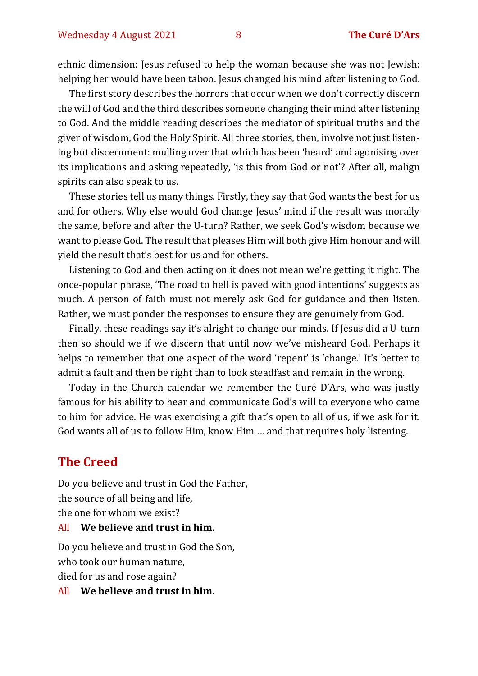ethnic dimension: Jesus refused to help the woman because she was not Jewish: helping her would have been taboo. Jesus changed his mind after listening to God.

The first story describes the horrors that occur when we don't correctly discern the will of God and the third describes someone changing their mind after listening to God. And the middle reading describes the mediator of spiritual truths and the giver of wisdom, God the Holy Spirit. All three stories, then, involve not just listening but discernment: mulling over that which has been 'heard' and agonising over its implications and asking repeatedly, 'is this from God or not'? After all, malign spirits can also speak to us.

These stories tell us many things. Firstly, they say that God wants the best for us and for others. Why else would God change Jesus' mind if the result was morally the same, before and after the U-turn? Rather, we seek God's wisdom because we want to please God. The result that pleases Him will both give Him honour and will yield the result that's best for us and for others.

Listening to God and then acting on it does not mean we're getting it right. The once-popular phrase, 'The road to hell is paved with good intentions' suggests as much. A person of faith must not merely ask God for guidance and then listen. Rather, we must ponder the responses to ensure they are genuinely from God.

Finally, these readings say it's alright to change our minds. If Jesus did a U-turn then so should we if we discern that until now we've misheard God. Perhaps it helps to remember that one aspect of the word 'repent' is 'change.' It's better to admit a fault and then be right than to look steadfast and remain in the wrong.

Today in the Church calendar we remember the Curé D'Ars, who was justly famous for his ability to hear and communicate God's will to everyone who came to him for advice. He was exercising a gift that's open to all of us, if we ask for it. God wants all of us to follow Him, know Him … and that requires holy listening.

#### **The Creed**

Do you believe and trust in God the Father, the source of all being and life, the one for whom we exist?

#### All **We believe and trust in him.**

Do you believe and trust in God the Son, who took our human nature, died for us and rose again?

All **We believe and trust in him.**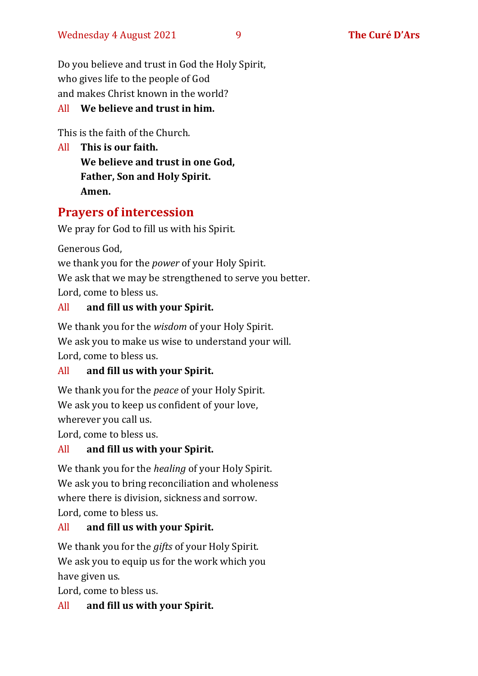Do you believe and trust in God the Holy Spirit, who gives life to the people of God and makes Christ known in the world?

### All **We believe and trust in him.**

This is the faith of the Church.

All **This is our faith. We believe and trust in one God, Father, Son and Holy Spirit. Amen.**

# **Prayers of intercession**

We pray for God to fill us with his Spirit.

Generous God,

we thank you for the *power* of your Holy Spirit. We ask that we may be strengthened to serve you better. Lord, come to bless us.

# All **and fill us with your Spirit.**

We thank you for the *wisdom* of your Holy Spirit. We ask you to make us wise to understand your will. Lord, come to bless us.

#### All **and fill us with your Spirit.**

We thank you for the *peace* of your Holy Spirit. We ask you to keep us confident of your love, wherever you call us. Lord, come to bless us.

#### All **and fill us with your Spirit.**

We thank you for the *healing* of your Holy Spirit. We ask you to bring reconciliation and wholeness where there is division, sickness and sorrow. Lord, come to bless us.

#### All **and fill us with your Spirit.**

We thank you for the *gifts* of your Holy Spirit. We ask you to equip us for the work which you have given us.

Lord, come to bless us.

#### All **and fill us with your Spirit.**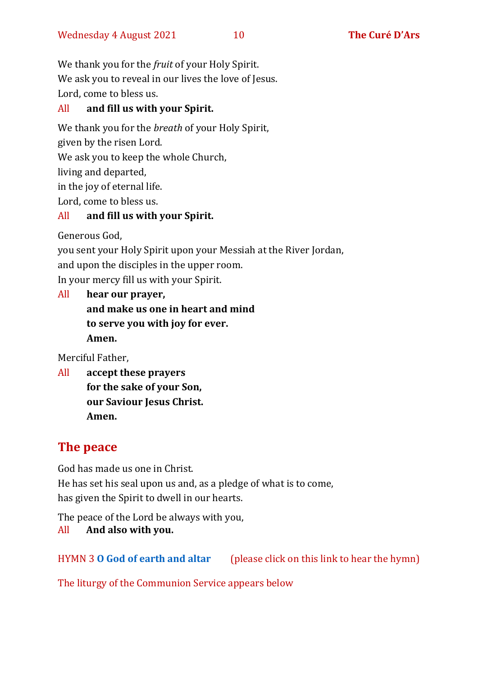We thank you for the *fruit* of your Holy Spirit. We ask you to reveal in our lives the love of Jesus. Lord, come to bless us.

#### All **and fill us with your Spirit.**

We thank you for the *breath* of your Holy Spirit,

given by the risen Lord.

We ask you to keep the whole Church,

living and departed,

in the joy of eternal life.

Lord, come to bless us.

#### All **and fill us with your Spirit.**

Generous God,

you sent your Holy Spirit upon your Messiah at the River Jordan, and upon the disciples in the upper room. In your mercy fill us with your Spirit.

All **hear our prayer, and make us one in heart and mind to serve you with joy for ever. Amen.**

Merciful Father,

All **accept these prayers for the sake of your Son, our Saviour Jesus Christ. Amen.**

# **The peace**

God has made us one in Christ.

He has set his seal upon us and, as a pledge of what is to come, has given the Spirit to dwell in our hearts.

The peace of the Lord be always with you,

All **And also with you.**

HYMN 3 **[O God of earth and altar](https://www.youtube.com/watch?v=4IskStYYi-M)** (please click on this link to hear the hymn)

The liturgy of the Communion Service appears below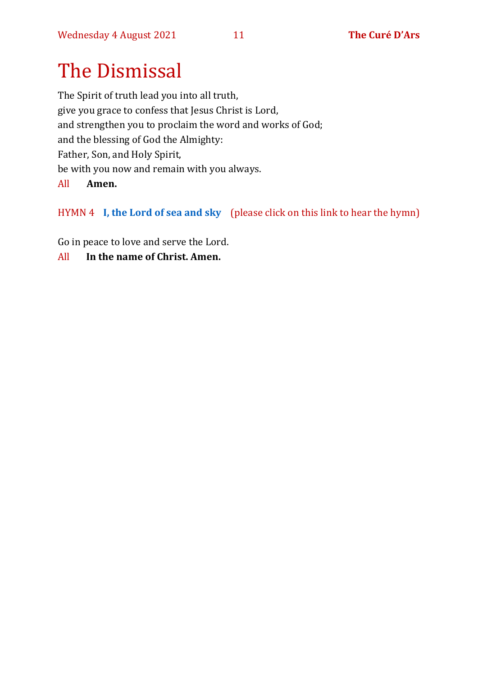# The Dismissal

The Spirit of truth lead you into all truth, give you grace to confess that Jesus Christ is Lord, and strengthen you to proclaim the word and works of God; and the blessing of God the Almighty: Father, Son, and Holy Spirit, be with you now and remain with you always.

#### All **Amen.**

HYMN 4 **[I, the Lord of sea and sky](https://www.youtube.com/watch?v=cGNYDcqdl8g)** (please click on this link to hear the hymn)

Go in peace to love and serve the Lord.

All **In the name of Christ. Amen.**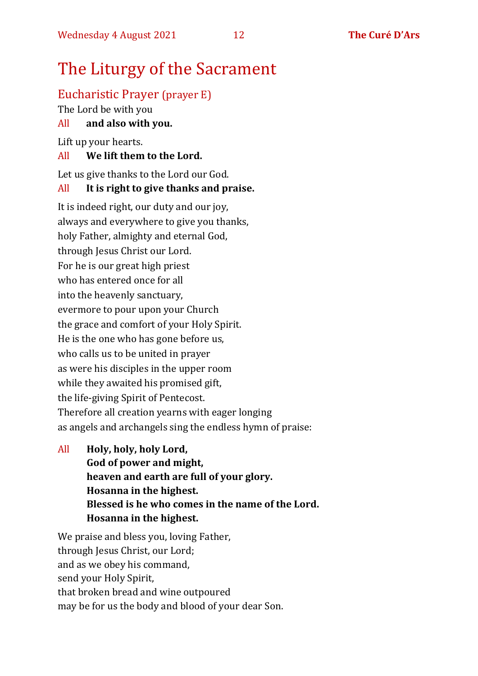# The Liturgy of the Sacrament

# Eucharistic Prayer (prayer E)

The Lord be with you

### All **and also with you.**

Lift up your hearts.

### All **We lift them to the Lord.**

Let us give thanks to the Lord our God.

## All **It is right to give thanks and praise.**

It is indeed right, our duty and our joy, always and everywhere to give you thanks, holy Father, almighty and eternal God, through Jesus Christ our Lord. For he is our great high priest who has entered once for all into the heavenly sanctuary, evermore to pour upon your Church the grace and comfort of your Holy Spirit. He is the one who has gone before us, who calls us to be united in prayer as were his disciples in the upper room while they awaited his promised gift, the life-giving Spirit of Pentecost. Therefore all creation yearns with eager longing as angels and archangels sing the endless hymn of praise:

All **Holy, holy, holy Lord, God of power and might, heaven and earth are full of your glory. Hosanna in the highest. Blessed is he who comes in the name of the Lord. Hosanna in the highest.**

We praise and bless you, loving Father, through Jesus Christ, our Lord; and as we obey his command, send your Holy Spirit, that broken bread and wine outpoured may be for us the body and blood of your dear Son.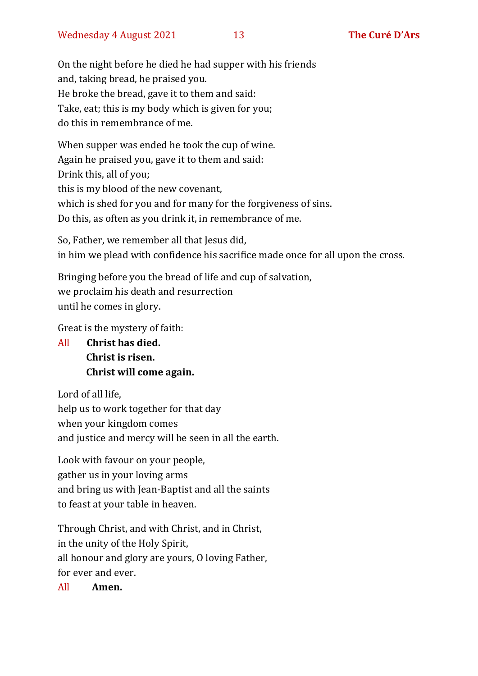On the night before he died he had supper with his friends and, taking bread, he praised you. He broke the bread, gave it to them and said: Take, eat; this is my body which is given for you; do this in remembrance of me.

When supper was ended he took the cup of wine. Again he praised you, gave it to them and said: Drink this, all of you; this is my blood of the new covenant, which is shed for you and for many for the forgiveness of sins. Do this, as often as you drink it, in remembrance of me.

So, Father, we remember all that Jesus did, in him we plead with confidence his sacrifice made once for all upon the cross.

Bringing before you the bread of life and cup of salvation, we proclaim his death and resurrection until he comes in glory.

Great is the mystery of faith:

All **Christ has died. Christ is risen. Christ will come again.**

Lord of all life, help us to work together for that day when your kingdom comes and justice and mercy will be seen in all the earth.

Look with favour on your people, gather us in your loving arms and bring us with Jean-Baptist and all the saints to feast at your table in heaven.

Through Christ, and with Christ, and in Christ, in the unity of the Holy Spirit, all honour and glory are yours, O loving Father, for ever and ever.

All **Amen.**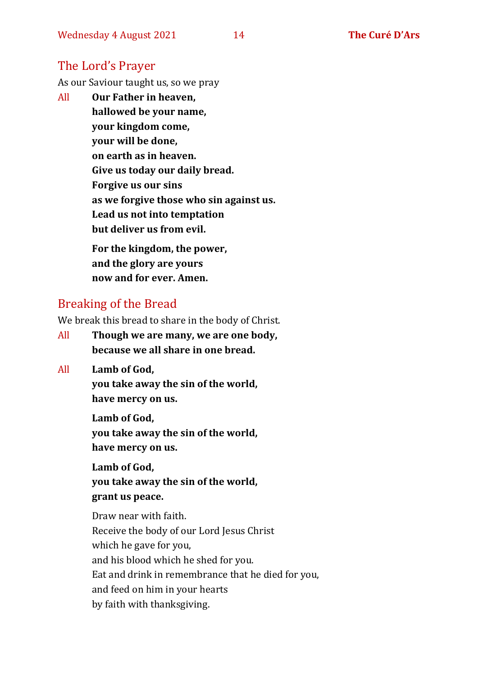### The Lord's Prayer

As our Saviour taught us, so we pray

All **Our Father in heaven, hallowed be your name, your kingdom come, your will be done, on earth as in heaven. Give us today our daily bread. Forgive us our sins as we forgive those who sin against us. Lead us not into temptation but deliver us from evil. For the kingdom, the power,** 

**and the glory are yours now and for ever. Amen.**

#### Breaking of the Bread

We break this bread to share in the body of Christ.

- All **Though we are many, we are one body, because we all share in one bread.**
- All **Lamb of God,**

**you take away the sin of the world, have mercy on us.**

**Lamb of God, you take away the sin of the world, have mercy on us.**

**Lamb of God, you take away the sin of the world, grant us peace.**

Draw near with faith. Receive the body of our Lord Jesus Christ which he gave for you, and his blood which he shed for you. Eat and drink in remembrance that he died for you, and feed on him in your hearts by faith with thanksgiving.